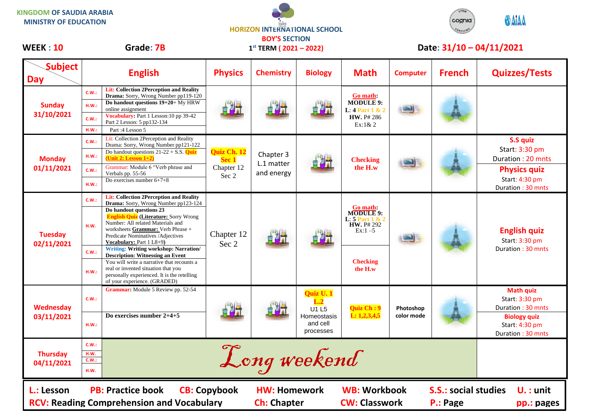**KINGDOM OF SAUDIA ARABIA MINISTRY OF EDUCATION**

## **HORIZON INTERNATIONAL SCHOOL BOY'S SECTION 1 st TERM ( 2021 – 2022)**



## WEEK : 10 Grade: 7B 1<sup>st</sup> TERM (2021 – 2022) Date: 31/10 – 04/11/2021

| <b>Subject</b><br><b>Day</b>   | <b>English</b>                                                                                                                                                                                                                                                                                                                                                                                                                                                                                                                                                                                                 | <b>Physics</b>                              | <b>Chemistry</b>                          | <b>Biology</b>                                                          | <b>Math</b>                                                                                                        | <b>Computer</b>         | <b>French</b>                           | <b>Quizzes/Tests</b>                                                                                                  |
|--------------------------------|----------------------------------------------------------------------------------------------------------------------------------------------------------------------------------------------------------------------------------------------------------------------------------------------------------------------------------------------------------------------------------------------------------------------------------------------------------------------------------------------------------------------------------------------------------------------------------------------------------------|---------------------------------------------|-------------------------------------------|-------------------------------------------------------------------------|--------------------------------------------------------------------------------------------------------------------|-------------------------|-----------------------------------------|-----------------------------------------------------------------------------------------------------------------------|
| <b>Sunday</b><br>31/10/2021    | <b>Lit: Collection 2Perception and Reality</b><br>C.W.:<br>Drama: Sorry, Wrong Number pp119-120<br>Do handout questions 19+20+ My HRW<br>H.W.:<br>online assignment<br>Vocabulary: Part 1 Lesson: 10 pp 39-42<br>C.W.:<br>Part 2 Lesson: 5 pp132-134<br>H.W.:<br>Part: 4 Lesson 5                                                                                                                                                                                                                                                                                                                              |                                             | 自制                                        |                                                                         | Go math:<br><b>MODULE 9:</b><br>L: $4$ Part $1 & 2$<br><b>HW.</b> P# 286<br>$Ex:1\& 2$                             |                         |                                         |                                                                                                                       |
| <b>Monday</b><br>01/11/2021    | Lit: Collection 2Perception and Reality<br>C.W.<br>Drama: Sorry, Wrong Number pp121-122<br>Do handout questions $21-22 + S.S.$ Quiz<br>H.W.:<br>(Unit 2: Lesson 1+2)<br>Grammar: Module 6 "Verb phrase and<br>C.W.:<br>Verbals pp. 55-56<br>Do exercises number $6+7+8$<br>H.W.:                                                                                                                                                                                                                                                                                                                               | Quiz Ch. 12<br>Sec 1<br>Chapter 12<br>Sec 2 | Chapter 3<br>L.1 matter<br>and energy     |                                                                         | <b>Checking</b><br>the H.w                                                                                         |                         |                                         | S.S quiz<br>Start: 3:30 pm<br>Duration: 20 mnts<br><b>Physics quiz</b><br>Start: 4:30 pm<br>Duration: 30 mnts         |
| <b>Tuesday</b><br>02/11/2021   | <b>Lit: Collection 2Perception and Reality</b><br>C.W.<br>Drama: Sorry, Wrong Number pp123-124<br>Do handout questions 23<br><b>English Quiz (Literature: Sorry Wrong</b><br>Number: All related Materials and<br>H.W.<br>worksheets Grammar: Verb Phrase +<br>Predicate Nominatives / Adjectives<br>Vocabulary: Part 1 L8+9)<br><b>Writing: Writing workshop: Narration/</b><br>C.W.:<br><b>Description: Witnessing an Event</b><br>You will write a narrative that recounts a<br>real or invented situation that you<br>H.W.:<br>personally experienced. It is the retelling<br>of your experience. (GRADED) | Chapter 12<br>Sec 2                         | 自测量                                       |                                                                         | Go math:<br><b>MODULE 9:</b><br>L: $5$ Part 1 & 2<br><b>HW.</b> P# 292<br>$Ex:1 - 5$<br><b>Checking</b><br>the H.w |                         |                                         | <b>English quiz</b><br>Start: 3:30 pm<br>Duration: 30 mnts                                                            |
| <b>Wednesday</b><br>03/11/2021 | Grammar: Module 5 Review pp. 52-54<br>C.W.:<br>Do exercises number $2+4+5$<br>H.W.:                                                                                                                                                                                                                                                                                                                                                                                                                                                                                                                            |                                             |                                           | Quiz U. 1<br>$\bf L.2$<br>U1 L5<br>Homeostasis<br>and cell<br>processes | Quiz Ch: 9<br>L: 1, 2, 3, 4, 5                                                                                     | Photoshop<br>color mode |                                         | <b>Math quiz</b><br>Start: 3:30 pm<br>Duration: 30 mnts<br><b>Biology quiz</b><br>Start: 4:30 pm<br>Duration: 30 mnts |
| <b>Thursday</b><br>04/11/2021  | C.W.:<br>H.W.<br>C.W.:<br>H.W.                                                                                                                                                                                                                                                                                                                                                                                                                                                                                                                                                                                 |                                             | Long weekend                              |                                                                         |                                                                                                                    |                         |                                         |                                                                                                                       |
| L.: Lesson                     | <b>PB: Practice book</b><br><b>RCV: Reading Comprehension and Vocabulary</b>                                                                                                                                                                                                                                                                                                                                                                                                                                                                                                                                   | <b>CB: Copybook</b>                         | <b>HW: Homework</b><br><b>Ch: Chapter</b> |                                                                         | <b>WB: Workbook</b><br><b>CW: Classwork</b>                                                                        |                         | <b>S.S.: social studies</b><br>P.: Page | $U.$ : unit<br>pp.: pages                                                                                             |